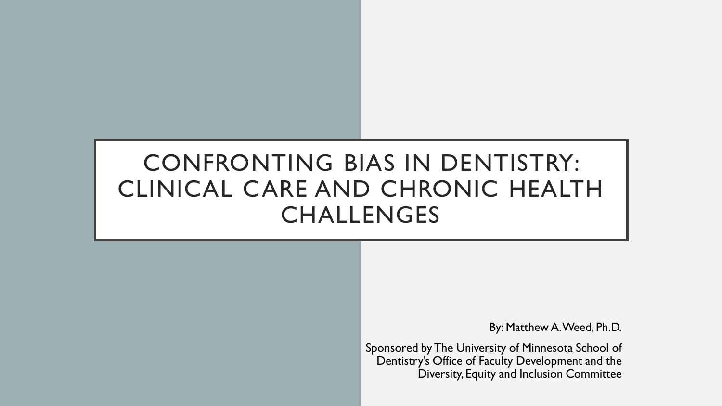# CONFRONTING BIAS IN DENTISTRY: CLINICAL CARE AND CHRONIC HEALTH CHALLENGES

By: Matthew A. Weed, Ph.D.

Sponsored by The University of Minnesota School of Dentistry's Office of Faculty Development and the Diversity, Equity and Inclusion Committee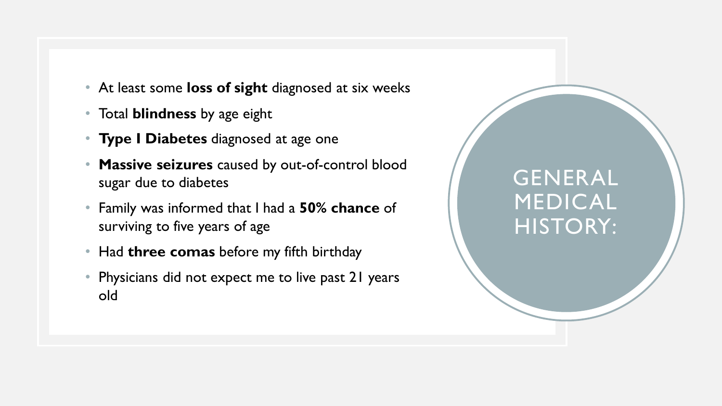- At least some **loss of sight** diagnosed at six weeks
- Total **blindness** by age eight
- **Type I Diabetes** diagnosed at age one
- **Massive seizures** caused by out-of-control blood sugar due to diabetes
- Family was informed that I had a **50% chance** of surviving to five years of age
- Had **three comas** before my fifth birthday
- Physicians did not expect me to live past 21 years old

# GENERAL MEDICAL HISTORY: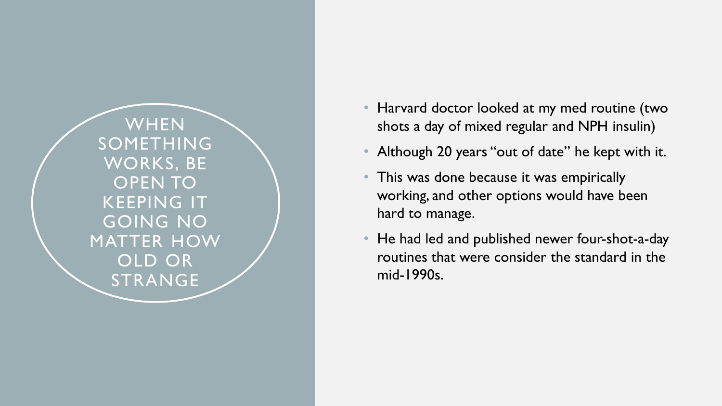WHEN SOMETHING WORKS, BE OPEN TO KEEPING IT GOING NO MATTER HOW OLD OR STRANGE

- Harvard doctor looked at my med routine (two shots a day of mixed regular and NPH insulin)
- Although 20 years "out of date" he kept with it.
- This was done because it was empirically working, and other options would have been hard to manage.
- He had led and published newer four-shot-a-day routines that were consider the standard in the mid -1990s.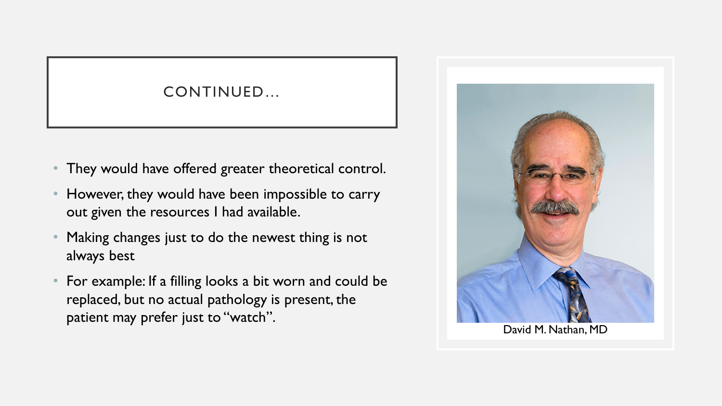### CONTINUED…

- They would have offered greater theoretical control.
- However, they would have been impossible to carry out given the resources I had available.
- Making changes just to do the newest thing is not always best
- For example: If a filling looks a bit worn and could be replaced, but no actual pathology is present, the patient may prefer just to "watch".<br>David M. Nathan, MD

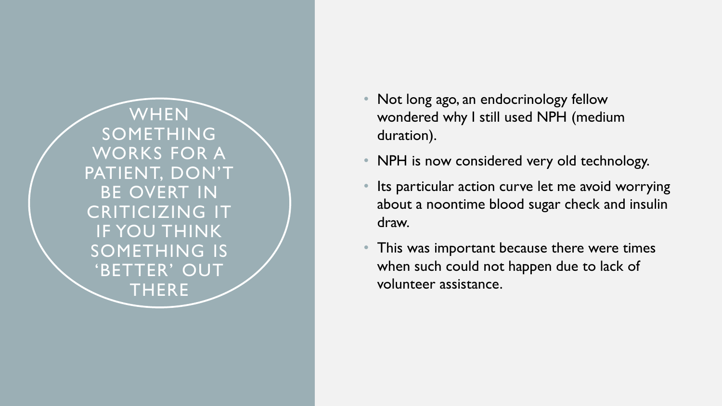**WHEN** SOMETHING WORKS FOR A PATIENT, DON'T BE OVERT IN CRITICIZING IT IF YOU THINK SOMETHING IS 'BETTER' OUT THERE

- Not long ago, an endocrinology fellow wondered why I still used NPH (medium duration).
- NPH is now considered very old technology.
- Its particular action curve let me avoid worrying about a noontime blood sugar check and insulin draw.
- This was important because there were times when such could not happen due to lack of volunteer assistance.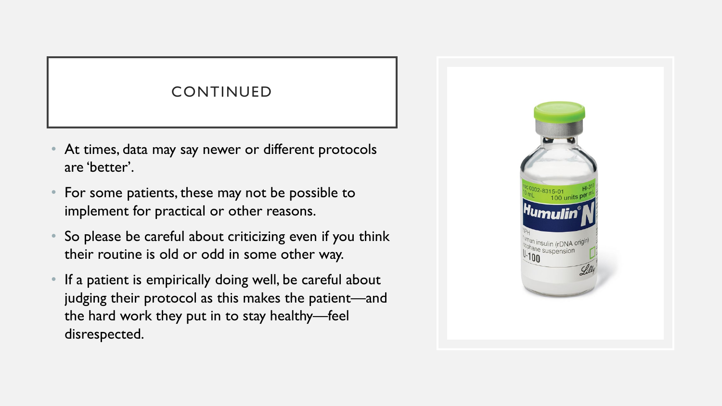### CONTINUED

- At times, data may say newer or different protocols are 'better'.
- For some patients, these may not be possible to implement for practical or other reasons.
- So please be careful about criticizing even if you think their routine is old or odd in some other way.
- If a patient is empirically doing well, be careful about judging their protocol as this makes the patient—and the hard work they put in to stay healthy—feel disrespected.

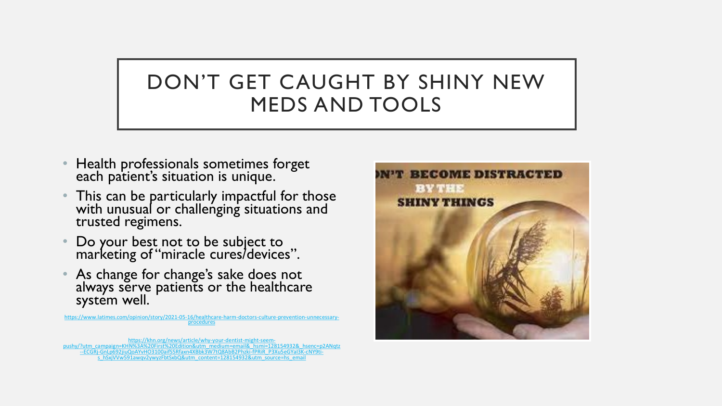# DON'T GET CAUGHT BY SHINY NEW MEDS AND TOOLS

- Health professionals sometimes forget each patient's situation is unique.
- This can be particularly impactful for those with unusual or challenging situations and trusted regimens.
- Do your best not to be subject to marketing of "miracle cures/devices".
- As change for change's sake does not always serve patients or the healthcare system well.

[https://www.latimes.com/opinion/story/2021-05-16/healthcare-harm-doctors-culture-prevention-unnecessary-](https://www.latimes.com/opinion/story/2021-05-16/healthcare-harm-doctors-culture-prevention-unnecessary-procedures) procedures

https://khn.org/news/article/why-your-dentist-might-seem-<br>[pushy/?utm\\_campaign=KHN%3A%20First%20Edition&utm\\_medium=email&\\_hsmi=128154932&\\_hsenc=p2ANqtz](https://khn.org/news/article/why-your-dentist-might-seem-pushy/?utm_campaign=KHN:%20First%20Edition&utm_medium=email&_hsmi=128154932&_hsenc=p2ANqtz--ECGRj-GnLp692jiuQoAYvHO3100aifS5Rfaxn4XBbk3W7tQ8AbB2Phzki-fPRiR_P3Xu5eGYaI3K-cNY9ti-s_hSxjVVw591awqv2ywyzFbtSxbQ&utm_content=128154932&utm_source=hs_email)<br>ECGRj-GnLp692jiuQoAYvHO3100aifS5Rfaxn4XBbk3W7tQ34b829hzki-fPRiR\_P3Xu5eG

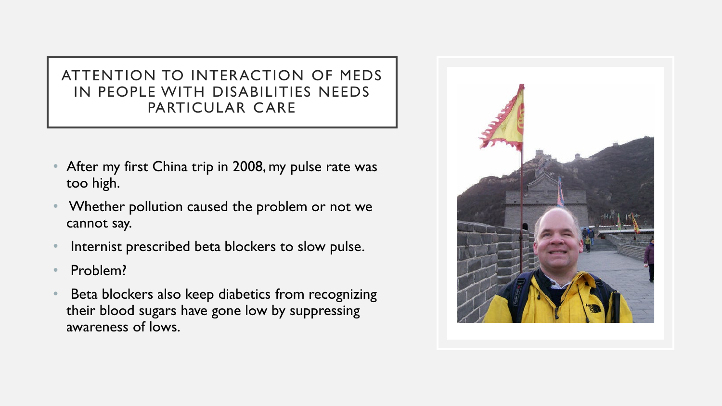### ATTENTION TO INTERACTION OF MEDS IN PEOPLE WITH DISABILITIES NEEDS PARTICULAR CARE

- After my first China trip in 2008, my pulse rate was too high.
- Whether pollution caused the problem or not we cannot say.
- Internist prescribed beta blockers to slow pulse.
- Problem?
- Beta blockers also keep diabetics from recognizing their blood sugars have gone low by suppressing awareness of lows.

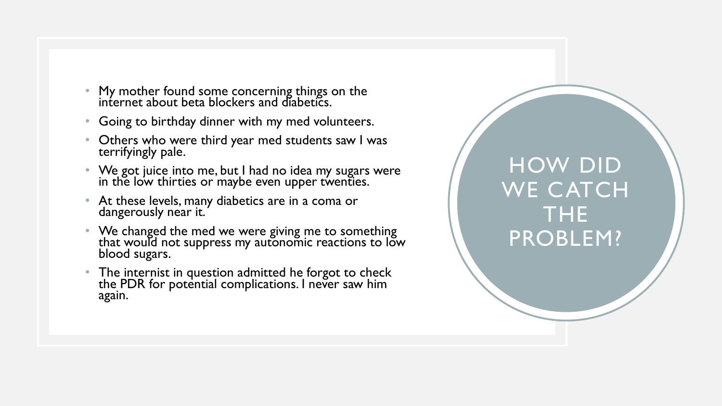- My mother found some concerning things on the internet about beta blockers and diabetics.
- Going to birthday dinner with my med volunteers.
- Others who were third year med students saw I was terrifyingly pale.
- We got juice into me, but I had no idea my sugars were in the low thirties or maybe even upper twenties.
- At these levels, many diabetics are in a coma or dangerously near it.
- We changed the med we were giving me to something that would not suppress my autonomic reactions to low blood sugars.
- The internist in question admitted he forgot to check the PDR for potential complications. I never saw him again.

HOW DID WE CATCH THE PROBLEM?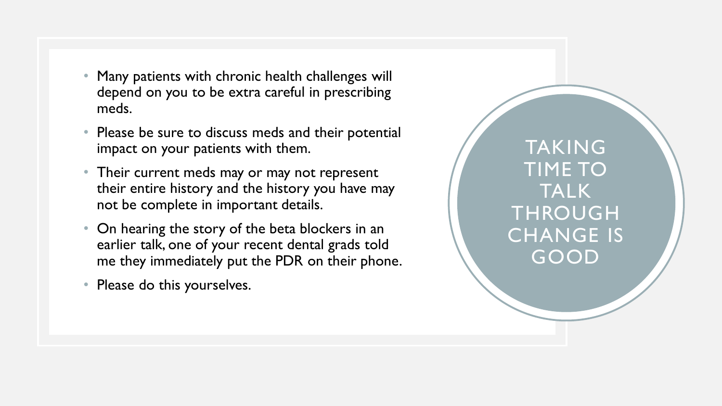- Many patients with chronic health challenges will depend on you to be extra careful in prescribing meds.
- Please be sure to discuss meds and their potential impact on your patients with them.
- Their current meds may or may not represent their entire history and the history you have may not be complete in important details.
- On hearing the story of the beta blockers in an earlier talk, one of your recent dental grads told me they immediately put the PDR on their phone.
- Please do this yourselves.

TAKING TIME TO TALK **THROUGH** CHANGE IS GOOD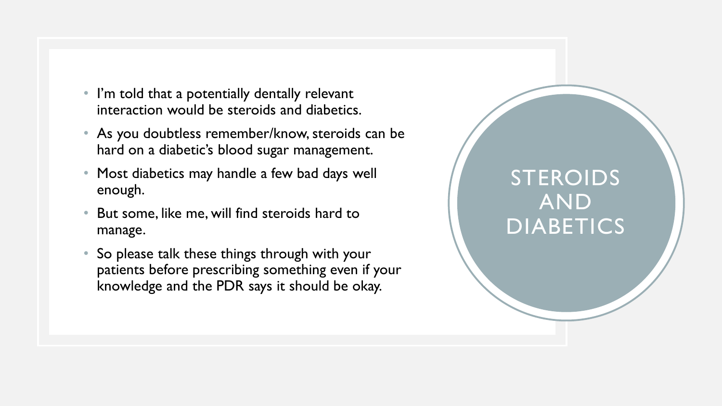- I'm told that a potentially dentally relevant interaction would be steroids and diabetics.
- As you doubtless remember/know, steroids can be hard on a diabetic's blood sugar management.
- Most diabetics may handle a few bad days well enough.
- But some, like me, will find steroids hard to manage.
- So please talk these things through with your patients before prescribing something even if your knowledge and the PDR says it should be okay.

# STEROIDS AND DIABETICS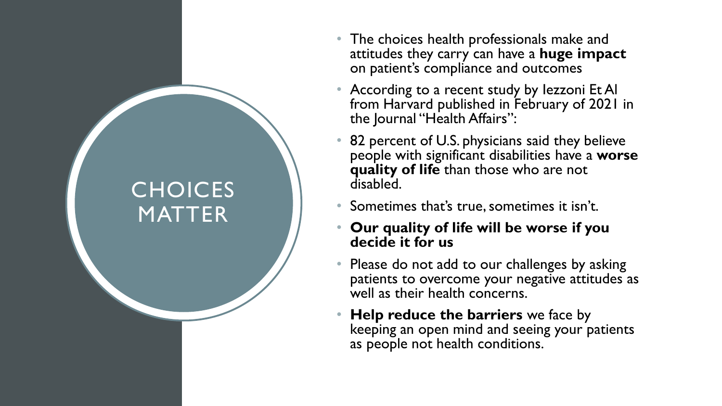# **CHOICES** MATTER

- The choices health professionals make and attitudes they carry can have a **huge impact**  on patient's compliance and outcomes
- According to a recent study by lezzoni Et Al from Harvard published in February of 2021 in the Journal "Health Affairs":
- 82 percent of U.S. physicians said they believe people with significant disabilities have a **worse quality of life** than those who are not disabled.
- Sometimes that's true, sometimes it isn't.
- **Our quality of life will be worse if you decide it for us**
- Please do not add to our challenges by asking patients to overcome your negative attitudes as well as their health concerns.
- **Help reduce the barriers** we face by keeping an open mind and seeing your patients as people not health conditions.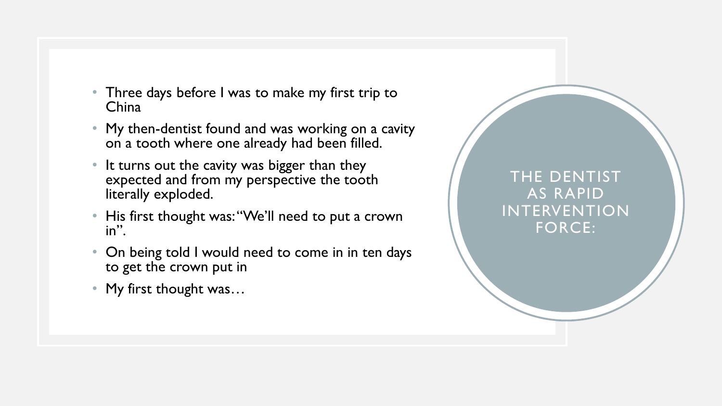- Three days before I was to make my first trip to China
- My then-dentist found and was working on a cavity on a tooth where one already had been filled.
- It turns out the cavity was bigger than they expected and from my perspective the tooth literally exploded.
- His first thought was: "We'll need to put a crown in".
- On being told I would need to come in in ten days to get the crown put in
- My first thought was...

### THE DENTIST AS RAPID INTERVENTION FORCE: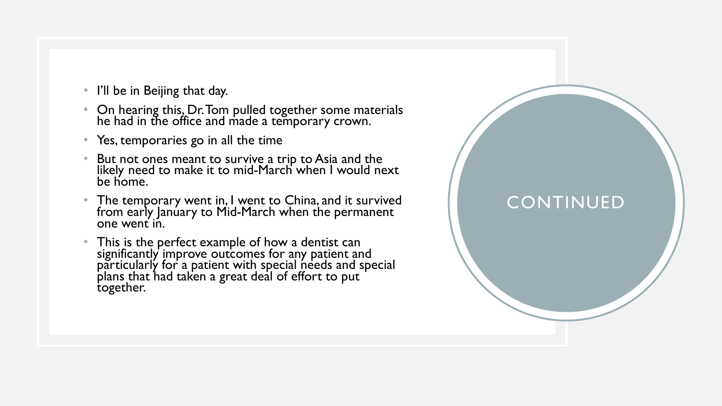- I'll be in Beijing that day.
- On hearing this, Dr. Tom pulled together some materials he had in the office and made a temporary crown.
- Yes, temporaries go in all the time
- But not ones meant to survive a trip to Asia and the likely need to make it to mid -March when I would next be home.
- The temporary went in, I went to China, and it survived from early Janúary to Mid-March when the permanent<br>one went in.
- This is the perfect example of how a dentist can significantly improve outcomes for any patient and particularly for a patient with special needs and special plans that had taken a great deal of effort to put together.

## CONTINUED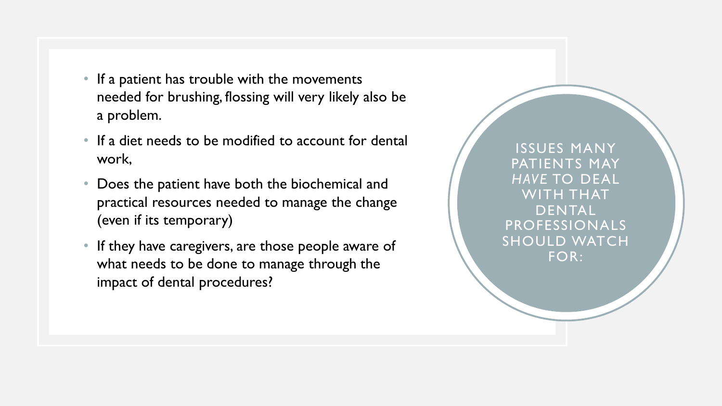- If a patient has trouble with the movements needed for brushing, flossing will very likely also be a problem.
- If a diet needs to be modified to account for dental work,
- Does the patient have both the biochemical and practical resources needed to manage the change (even if its temporary)
- If they have caregivers, are those people aware of what needs to be done to manage through the impact of dental procedures?

ISSUES MANY PATIENTS MAY *HAVE* TO DEAL WITH THAT DENTAL PROFESSIONALS SHOULD WATCH FOR: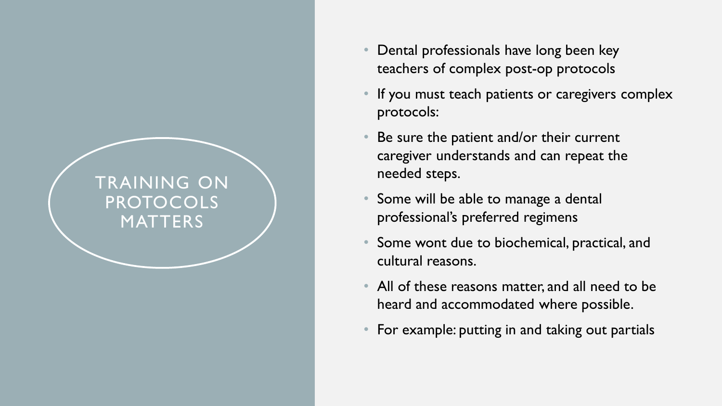## TRAINING ON PROTOCOLS **MATTERS**

- Dental professionals have long been key teachers of complex post-op protocols
- If you must teach patients or caregivers complex protocols:
- Be sure the patient and/or their current caregiver understands and can repeat the needed steps.
- Some will be able to manage a dental professional's preferred regimens
- Some wont due to biochemical, practical, and cultural reasons.
- All of these reasons matter, and all need to be heard and accommodated where possible.
- For example: putting in and taking out partials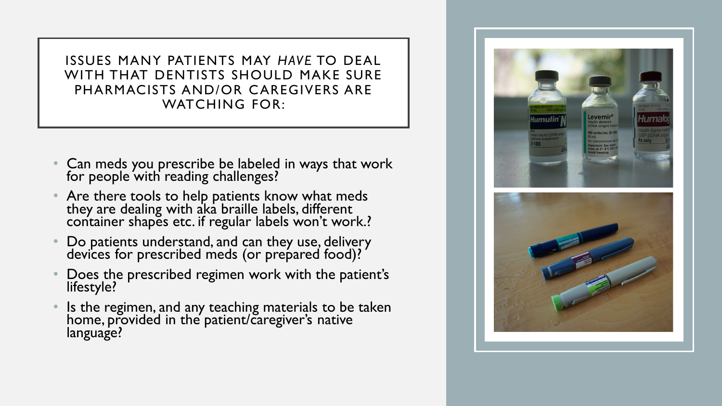ISSUES MANY PATIENTS MAY *HAVE* TO DEAL WITH THAT DENTISTS SHOULD MAKE SURE PHARMACISTS AND/OR CAREGIVERS ARE WATCHING FOR:

- Can meds you prescribe be labeled in ways that work for people with reading challenges?
- Are there tools to help patients know what meds they are dealing with aka braille labels, different container shapes etc. if regular labels won't work.?
- Do patients understand, and can they use, delivery devices for prescribed meds (or prepared food)?
- Does the prescribed regimen work with the patient's lifestyle?
- Is the regimen, and any teaching materials to be taken home, provided in the patient/caregiver's native language?

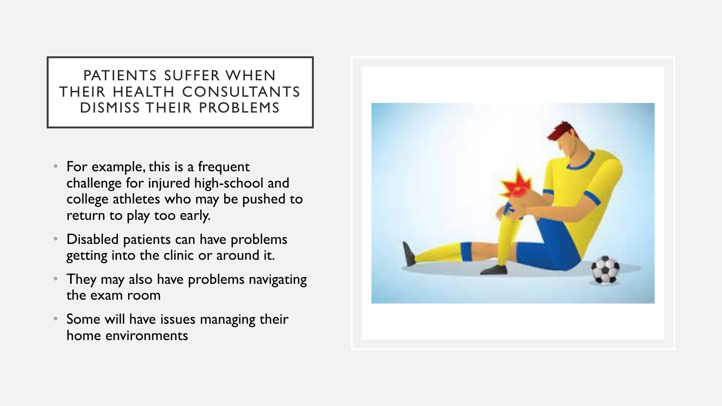### PATIENTS SUFFER WHEN THEIR HEALTH CONSULTANTS DISMISS THEIR PROBLEMS

- For example, this is a frequent challenge for injured high-school and college athletes who may be pushed to return to play too early.
- Disabled patients can have problems getting into the clinic or around it.
- They may also have problems navigating the exam room
- Some will have issues managing their home environments

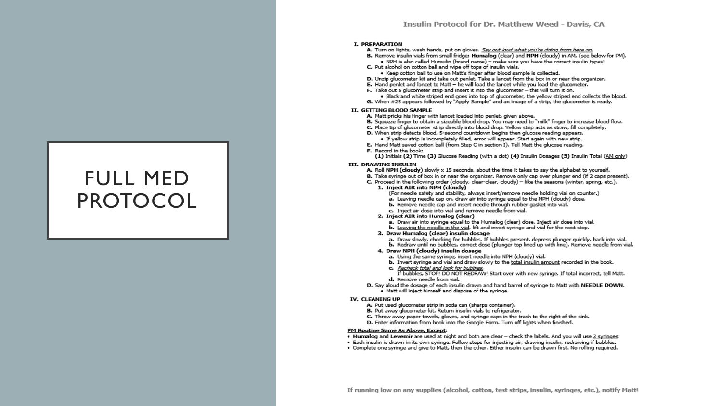## FULL MED PROTOCOL

#### I. PREPARATION

- A. Turn on lights, wash hands, put on gloves. Say out loud what you're doing from here on.
- B. Remove insulin vials from small fridge: Humalog (dear) and NPH (doudy) in AM, (see below for PM). . NPH is also called Humulin (brand name) - make sure you have the correct insulin types!
- C. Put alcohol on cotton ball and wipe off tops of insulin vials.
- . Keep cotton ball to use on Matt's finger after blood sample is collected.
- D. Unzip glucometer kit and take out penlet. Take a lancet from the box in or near the organizer.
- E. Hand penlet and lancet to Matt he will load the lancet while you load the glucometer.
- F. Take out a glucometer strip and insert it into the glucometer this will turn it on.
- . Black and white striped end goes into top of glucometer, the vellow striped end collects the blood. G. When #25 appears followed by "Apply Sample" and an image of a strip, the glucometer is ready.

#### II. GETTING BLOOD SAMPLE

- A. Matt pricks his finger with lancet loaded into penlet, given above.
- B. Squeeze finger to obtain a sizeable blood drop. You may need to "milk" finger to increase blood flow.
- C. Place tip of glucometer strip directly into blood drop. Yellow strip acts as straw, fill completely.
- D. When strip detects blood, 5-second countdown begins then glucose reading appears.
- · If yellow strip is incompletely filled, error will appear. Start again with new strip.
- E. Hand Matt saved cotton ball (from Step C in section I). Tell Matt the glucose reading.
- F. Record in the book:
	- (1) Initials (2) Time (3) Glucose Reading (with a dot) (4) Insulin Dosages (5) Insulin Total (AM only)

#### III. DRAWING INSULIN

- A. Roll NPH (cloudy) slowly x 15 seconds, about the time it takes to say the alphabet to yourself.
- B. Take syringe out of box in or near the organizer. Remove only cap over plunger end (if 2 caps present).
- C. Proceed in the following order (cloudy, clear-clear, cloudy) like the seasons (winter, spring, etc.).
	- 1. Inject AIR into NPH (doudy)
		- (For needle safety and stability, always insert/remove needle holding vial on counter.)
		- a. Leaving needle cap on, draw air into syringe equal to the NPH (cloudy) dose.
		- b. Remove needle cap and insert needle through rubber gasket into vial.
		- c. Inject air dose into vial and remove needle from vial.
	- 2. Inject AIR into Humalog (clear)
		- a. Draw air into syringe equal to the Humalog (clear) dose. Inject air dose into vial.
		- b. Leaving the needle in the vial, lift and invert syringe and vial for the next step.
	- 3. Draw Humalog (clear) insulin dosage
		- a. Draw slowly, checking for bubbles. If bubbles present, depress plunger quickly, back into vial.
		- b. Redraw until no bubbles, correct dose (plunger top lined up with line). Remove needle from vial.
	- 4. Draw NPH (cloudy) insulin dosage
	- a. Using the same syringe, insert needle into NPH (cloudy) vial.
	- b. Invert syringe and vial and draw slowly to the total insulin amount recorded in the book.
	- c. Recheck total and look for bubbles.
	- If bubbles, STOP! DO NOT REDRAW! Start over with new syringe. If total incorrect, tell Matt. d. Remove needle from vial.
- D. Say aloud the dosage of each insulin drawn and hand barrel of syringe to Matt with NEEDLE DOWN. . Matt will inject himself and dispose of the syringe.

#### **IV. CLEANING UP**

- A. Put used glucometer strip in soda can (sharps container).
- B. Put away glucometer kit. Return insulin vials to refrigerator.
- C. Throw away paper towels, gloves, and syringe caps in the trash to the right of the sink.
- D. Enter information from book into the Google Form. Turn off lights when finished.

#### PM Routine Same As Above, Except:

- . Humalog and Levemir are used at night and both are dear check the labels. And you will use 2 syringes.
- · Each insulin is drawn in its own syringe. Follow steps for injecting air, drawing insulin, redrawing if bubbles.
- . Complete one syringe and give to Matt, then the other. Either insulin can be drawn first. No rolling required.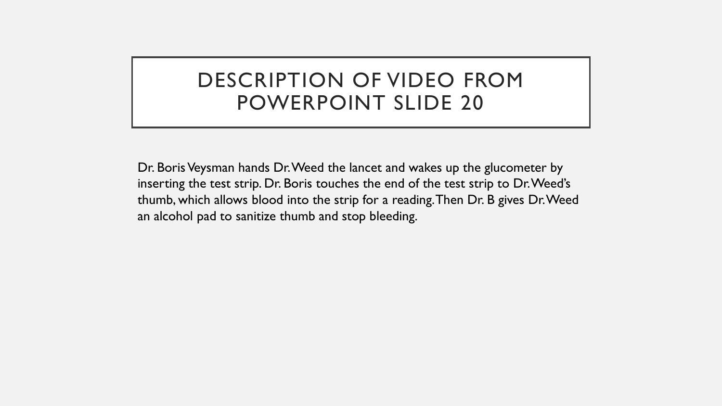## DESCRIPTION OF VIDEO FROM POWERPOINT SLIDE 20

Dr. Boris Veysman hands Dr. Weed the lancet and wakes up the glucometer by inserting the test strip. Dr. Boris touches the end of the test strip to Dr. Weed's thumb, which allows blood into the strip for a reading. Then Dr. B gives Dr. Weed an alcohol pad to sanitize thumb and stop bleeding.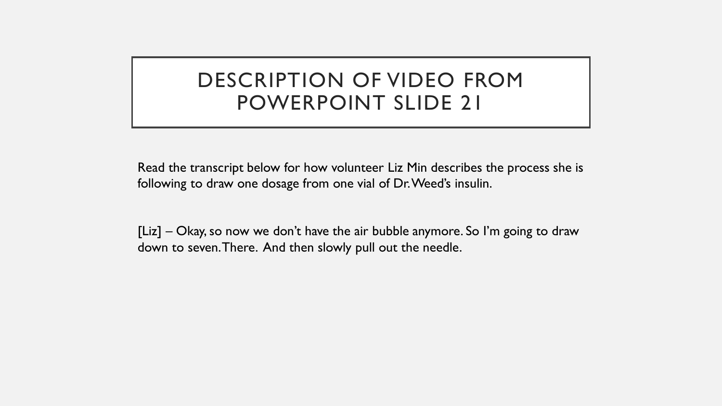## DESCRIPTION OF VIDEO FROM POWERPOINT SLIDE 21

Read the transcript below for how volunteer Liz Min describes the process she is following to draw one dosage from one vial of Dr. Weed's insulin.

[Liz] – Okay, so now we don't have the air bubble anymore. So I'm going to draw down to seven. There. And then slowly pull out the needle.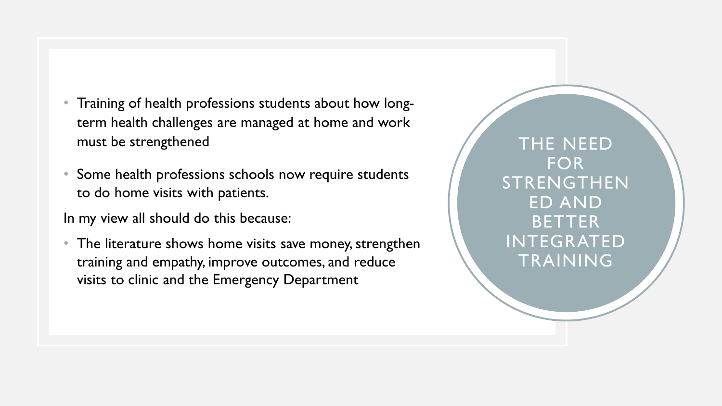- Training of health professions students about how longterm health challenges are managed at home and work must be strengthened
- Some health professions schools now require students to do home visits with patients.

In my view all should do this because:

• The literature shows home visits save money, strengthen training and empathy, improve outcomes, and reduce visits to clinic and the Emergency Department

THE NEED FOR STRENGTHEN ED AND BETTER INTEGRATED TRAINING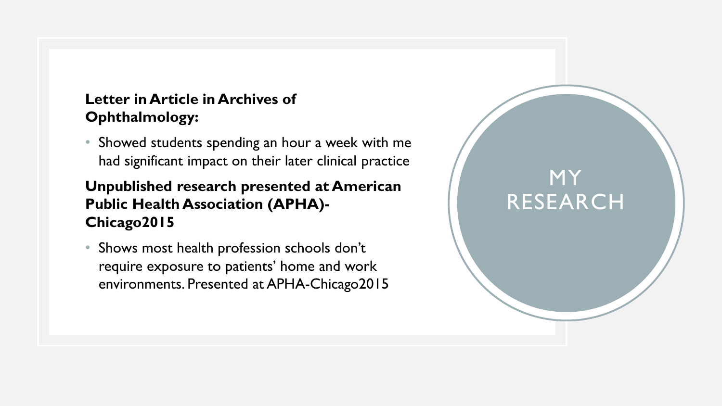### **Letter in Article in Archives of Ophthalmology:**

• Showed students spending an hour a week with me had significant impact on their later clinical practice

MY

RESEARCH

### **Unpublished research presented at American Public Health Association (APHA)- Chicago2015**

• Shows most health profession schools don't require exposure to patients' home and work environments. Presented at APHA-Chicago2015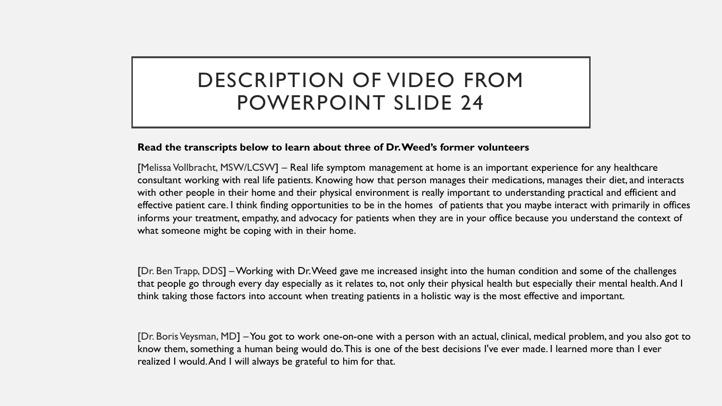## DESCRIPTION OF VIDEO FROM POWERPOINT SLIDE 24

#### **Read the transcripts below to learn about three of Dr. Weed's former volunteers**

[Melissa Vollbracht, MSW/LCSW] – Real life symptom management at home is an important experience for any healthcare consultant working with real life patients. Knowing how that person manages their medications, manages their diet, and interacts with other people in their home and their physical environment is really important to understanding practical and efficient and effective patient care. I think finding opportunities to be in the homes of patients that you maybe interact with primarily in offices informs your treatment, empathy, and advocacy for patients when they are in your office because you understand the context of what someone might be coping with in their home.

[Dr. Ben Trapp, DDS] –Working with Dr. Weed gave me increased insight into the human condition and some of the challenges that people go through every day especially as it relates to, not only their physical health but especially their mental health.And I think taking those factors into account when treating patients in a holistic way is the most effective and important.

[Dr. Boris Veysman, MD] –You got to work one-on-one with a person with an actual, clinical, medical problem, and you also got to know them, something a human being would do. This is one of the best decisions I've ever made. I learned more than I ever realized I would. And I will always be grateful to him for that.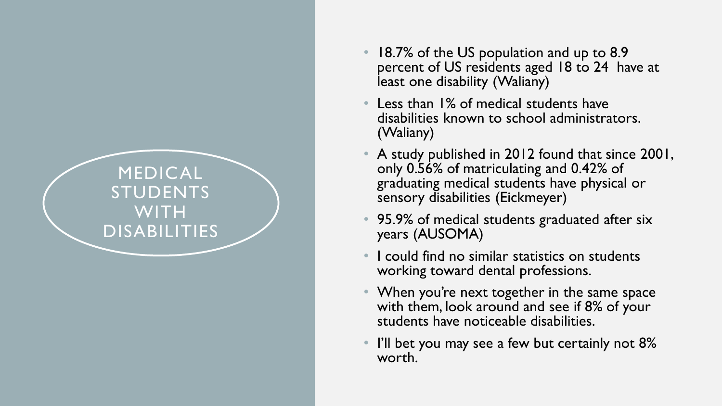## MEDICAL STUDENTS WITH DISABILITIES

- 18.7% of the US population and up to 8.9 percent of US residents aged 18 to 24 have at least one disability (Waliany)
- Less than 1% of medical students have disabilities known to school administrators. (Waliany)
- A study published in 2012 found that since 2001, only 0.56% of matriculating and 0.42% of graduating medical students have physical or sensory disabilities (Eickmeyer )
- 95.9% of medical students graduated after six years (AUSOMA)
- I could find no similar statistics on students working toward dental professions.
- When you're next together in the same space with them, look around and see if 8% of your students have noticeable disabilities.
- I'll bet you may see a few but certainly not 8% worth.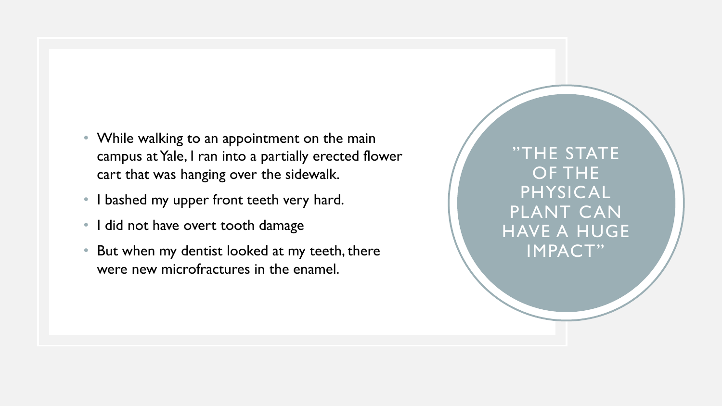- While walking to an appointment on the main campus at Yale, I ran into a partially erected flower cart that was hanging over the sidewalk.
- I bashed my upper front teeth very hard.
- I did not have overt tooth damage
- But when my dentist looked at my teeth, there were new microfractures in the enamel.

"THE STATE OF THE PHYSICAL PLANT CAN HAVE A HUGE IMPACT"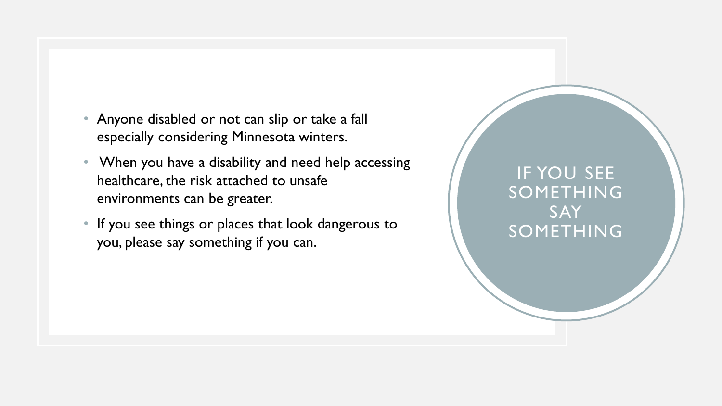- Anyone disabled or not can slip or take a fall especially considering Minnesota winters.
- When you have a disability and need help accessing healthcare, the risk attached to unsafe environments can be greater.
- If you see things or places that look dangerous to you, please say something if you can.

IF YOU SEE SOMETHING **SAY** SOMETHING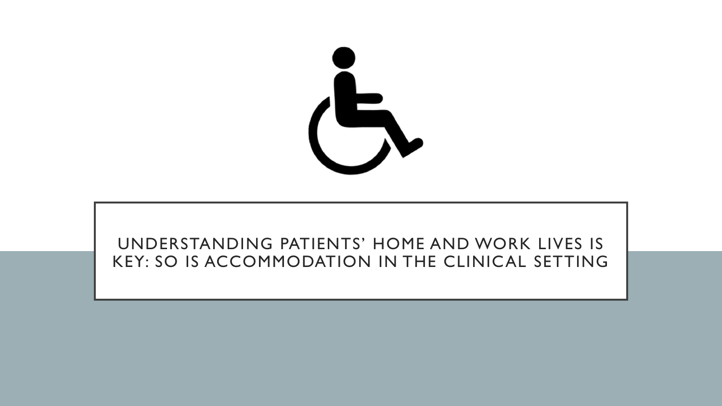

## UNDERSTANDING PATIENTS' HOME AND WORK LIVES IS KEY: SO IS ACCOMMODATION IN THE CLINICAL SETTING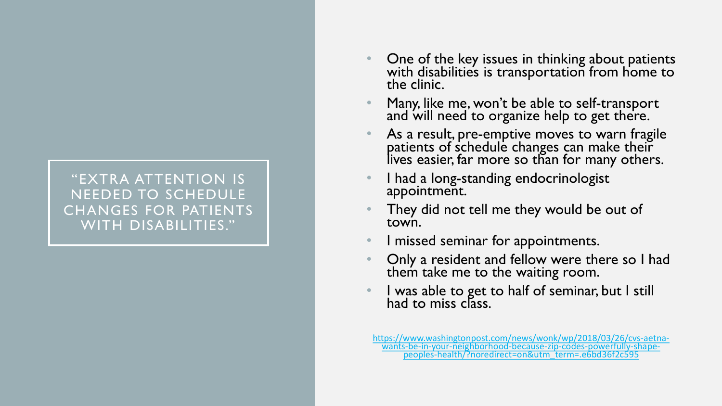### "EXTRA ATTENTION IS NEEDED TO SCHEDULE CHANGES FOR PATIENTS WITH DISABILITIES."

- One of the key issues in thinking about patients with disabilities is transportation from home to the clinic.
- Many, like me, won't be able to self-transport and will need to organize help to get there.
- As a result, pre-emptive moves to warn fragile patients of schedule changes can make their lives easier, far more so than for many others.
- I had a long-standing endocrinologist<br>appointment.
- They did not tell me they would be out of town.
- I missed seminar for appointments.
- Only a resident and fellow were there so I had them take me to the waiting room.
- I was able to get to half of seminar, but I still had to miss class.

[https://www.washingtonpost.com/news/wonk/wp/2018/03/26/cvs-aetna-](https://www.washingtonpost.com/news/wonk/wp/2018/03/26/cvs-aetna-wants-be-in-your-neighborhood-because-zip-codes-powerfully-shape-peoples-health/?noredirect=on&utm_term=.e6bd36f2c595) wants-be-in-your-neighborhood-because-zip-codes-powerfully-shape- peoples-health/?noredirect=on&utm\_term=.e6bd36f2c595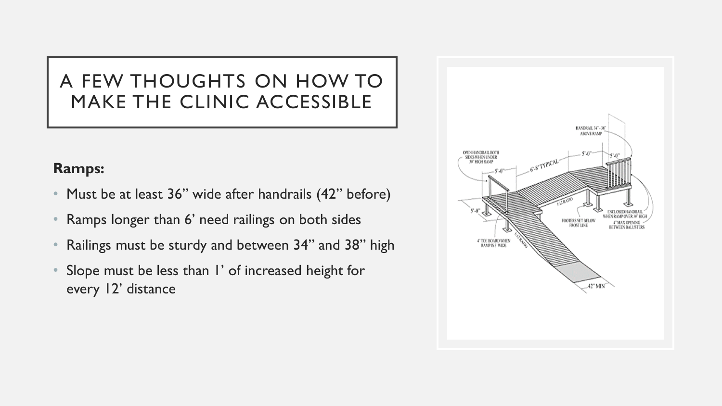### **Ramps:**

- Must be at least 36" wide after handrails (42" before)
- Ramps longer than 6' need railings on both sides
- Railings must be sturdy and between 34" and 38" high
- Slope must be less than I' of increased height for every 12' distance

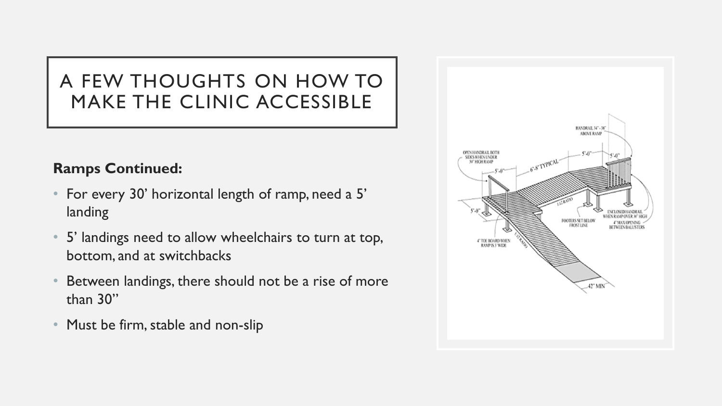### **Ramps Continued:**

- For every 30' horizontal length of ramp, need a 5' landing
- 5' landings need to allow wheelchairs to turn at top, bottom, and at switchbacks
- Between landings, there should not be a rise of more than 30"
- Must be firm, stable and non-slip

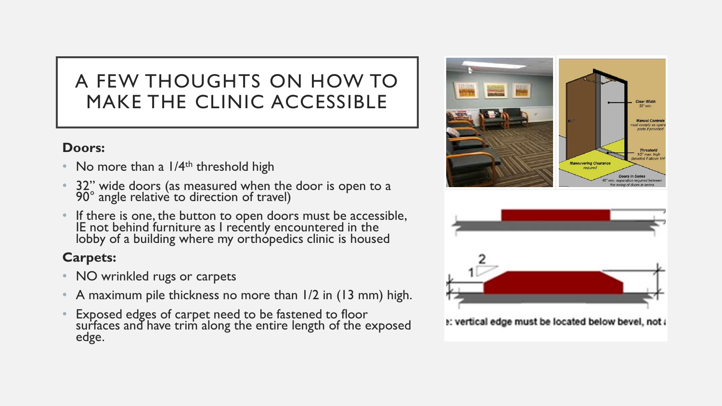### **Doors:**

- No more than a  $1/4<sup>th</sup>$  threshold high
- 32" wide doors (as measured when the door is open to a 90° angle relative to direction of travel)
- If there is one, the button to open doors must be accessible, IE not behind furniture as I recently encountered in the lobby of a building where my orthopedics clinic is housed

### **Carpets:**

- NO wrinkled rugs or carpets
- A maximum pile thickness no more than 1/2 in (13 mm) high.
- Exposed edges of carpet need to be fastened to floor surfaces and have trim along the entire length of the exposed edge.





e: vertical edge must be located below bevel, not a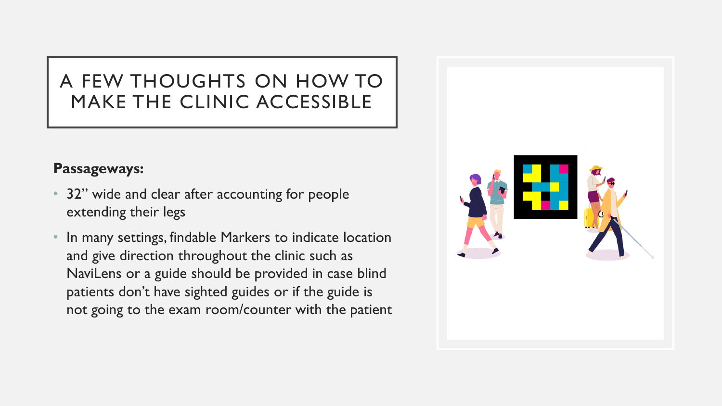### **Passageways:**

- 32" wide and clear after accounting for people extending their legs
- In many settings, findable Markers to indicate location and give direction throughout the clinic such as NaviLens or a guide should be provided in case blind patients don't have sighted guides or if the guide is not going to the exam room/counter with the patient

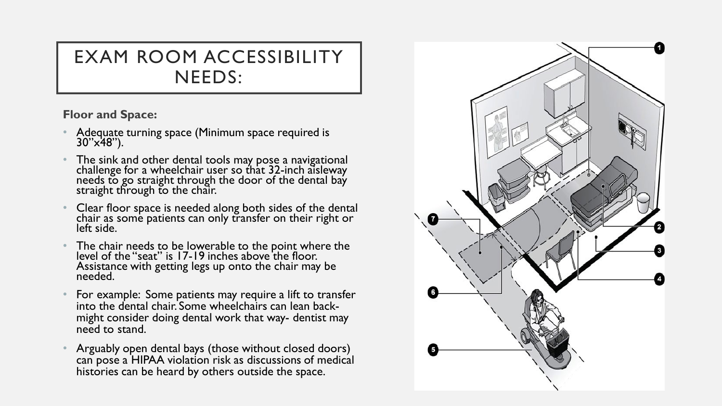## EXAM ROOM ACCESSIBILITY NEEDS:

### **Floor and Space:**

- Adequate turning space (Minimum space required is 30"x48").
- The sink and other dental tools may pose a navigational challenge for a wheelchair user so that 32-inch aisleway needs to go straight through the door of the dental bay straight through to the chair.
- Clear floor space is needed along both sides of the dental chair as some patients can only transfer on their right or left side.
- The chair needs to be lowerable to the point where the level of the "seat" is 17-19 inches above the floor. Assistance with getting legs up onto the chair may be needed.
- For example: Some patients may require a lift to transfer into the dental chair. Some wheelchairs can lean back- might consider doing dental work that way- dentist may need to stand.
- Arguably open dental bays (those without closed doors) can pose a HIPAA violation risk as discussions of medical histories can be heard by others outside the space.

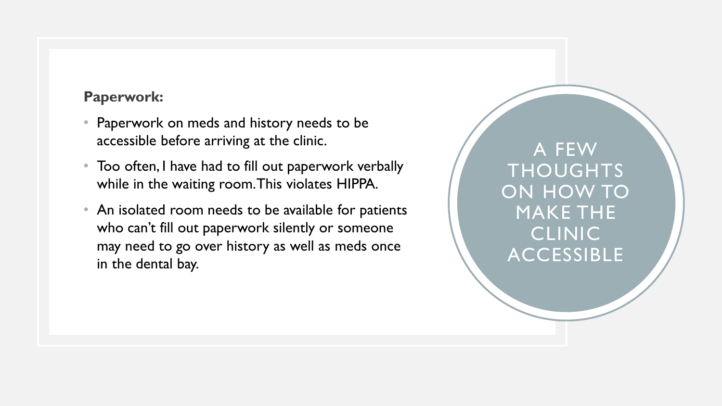### **Paperwork:**

- Paperwork on meds and history needs to be accessible before arriving at the clinic.
- Too often, I have had to fill out paperwork verbally while in the waiting room. This violates HIPPA.
- An isolated room needs to be available for patients who can't fill out paperwork silently or someone may need to go over history as well as meds once in the dental bay.

A FEW THOUGHTS ON HOW TO MAKE THE CLINIC ACCESSIBLE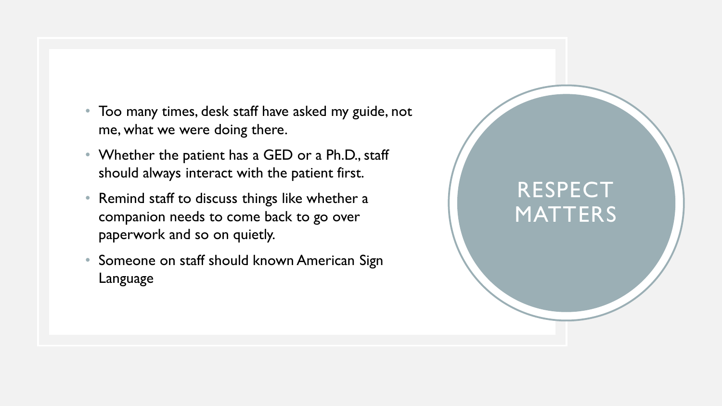- Too many times, desk staff have asked my guide, not me, what we were doing there.
- Whether the patient has a GED or a Ph.D., staff should always interact with the patient first.
- Remind staff to discuss things like whether a companion needs to come back to go over paperwork and so on quietly.
- Someone on staff should known American Sign Language

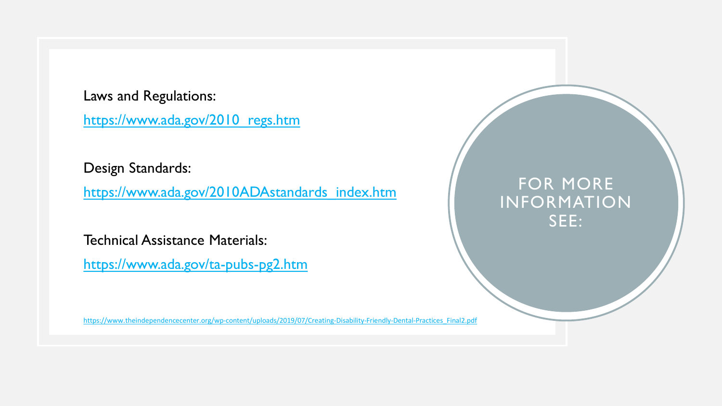Laws and Regulations: [https://www.ada.gov/2010\\_regs.htm](https://www.ada.gov/2010_regs.htm)

Design Standards:

[https://www.ada.gov/2010ADAstandards\\_index.htm](https://www.ada.gov/2010ADAstandards_index.htm)

Technical Assistance Materials:

<https://www.ada.gov/ta-pubs-pg2.htm>

## FOR MORE INFORMATION SEE:

[https://www.theindependencecenter.org/wp-content/uploads/2019/07/Creating-Disability-Friendly-Dental-Practices\\_Final2.pdf](https://www.theindependencecenter.org/wp-content/uploads/2019/07/Creating-Disability-Friendly-Dental-Practices_Final2.pdf)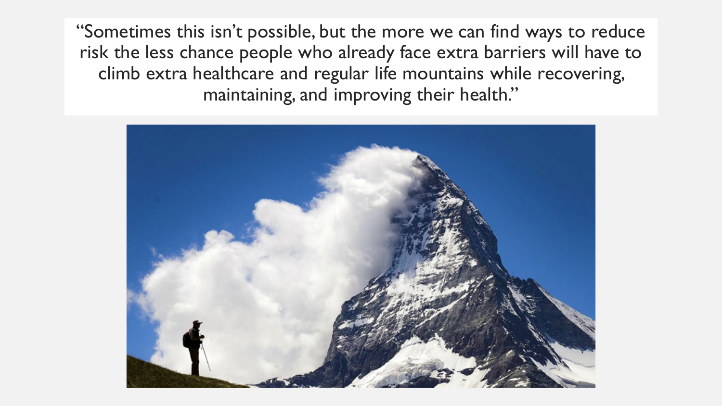"Sometimes this isn't possible, but the more we can find ways to reduce risk the less chance people who already face extra barriers will have to climb extra healthcare and regular life mountains while recovering, maintaining, and improving their health."

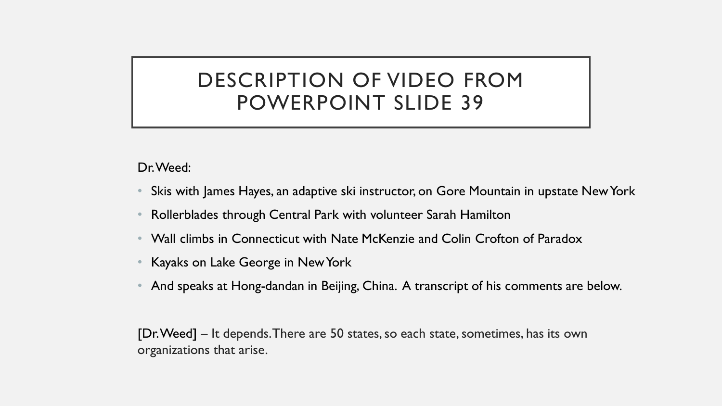## DESCRIPTION OF VIDEO FROM POWERPOINT SLIDE 39

Dr. Weed:

- Skis with James Hayes, an adaptive ski instructor, on Gore Mountain in upstate New York
- Rollerblades through Central Park with volunteer Sarah Hamilton
- Wall climbs in Connecticut with Nate McKenzie and Colin Crofton of Paradox
- Kayaks on Lake George in New York
- And speaks at Hong-dandan in Beijing, China. A transcript of his comments are below.

[Dr. Weed] – It depends. There are 50 states, so each state, sometimes, has its own organizations that arise.